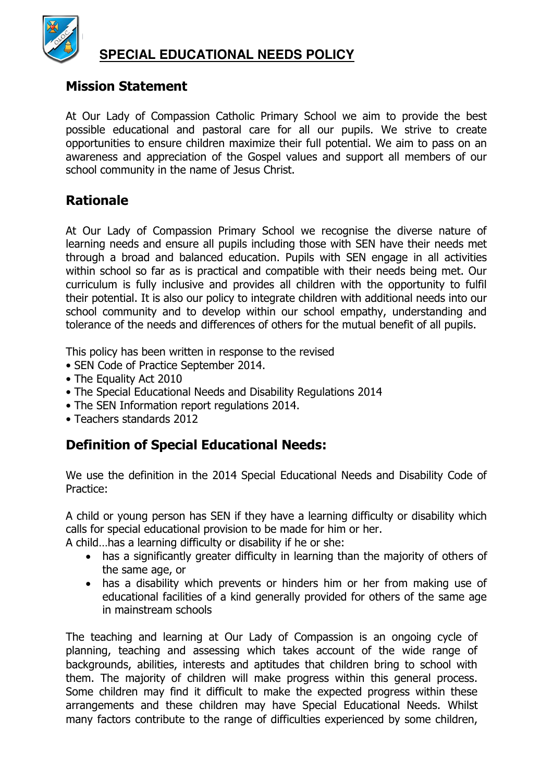

# **SPECIAL EDUCATIONAL NEEDS POLICY**

#### **Mission Statement**

At Our Lady of Compassion Catholic Primary School we aim to provide the best possible educational and pastoral care for all our pupils. We strive to create opportunities to ensure children maximize their full potential. We aim to pass on an awareness and appreciation of the Gospel values and support all members of our school community in the name of Jesus Christ.

#### **Rationale**

At Our Lady of Compassion Primary School we recognise the diverse nature of learning needs and ensure all pupils including those with SEN have their needs met through a broad and balanced education. Pupils with SEN engage in all activities within school so far as is practical and compatible with their needs being met. Our curriculum is fully inclusive and provides all children with the opportunity to fulfil their potential. It is also our policy to integrate children with additional needs into our school community and to develop within our school empathy, understanding and tolerance of the needs and differences of others for the mutual benefit of all pupils.

This policy has been written in response to the revised

- SEN Code of Practice September 2014.
- The Equality Act 2010
- The Special Educational Needs and Disability Regulations 2014
- The SEN Information report regulations 2014.
- Teachers standards 2012

## **Definition of Special Educational Needs:**

We use the definition in the 2014 Special Educational Needs and Disability Code of Practice:

A child or young person has SEN if they have a learning difficulty or disability which calls for special educational provision to be made for him or her.

A child…has a learning difficulty or disability if he or she:

- has a significantly greater difficulty in learning than the majority of others of the same age, or
- has a disability which prevents or hinders him or her from making use of educational facilities of a kind generally provided for others of the same age in mainstream schools

The teaching and learning at Our Lady of Compassion is an ongoing cycle of planning, teaching and assessing which takes account of the wide range of backgrounds, abilities, interests and aptitudes that children bring to school with them. The majority of children will make progress within this general process. Some children may find it difficult to make the expected progress within these arrangements and these children may have Special Educational Needs. Whilst many factors contribute to the range of difficulties experienced by some children,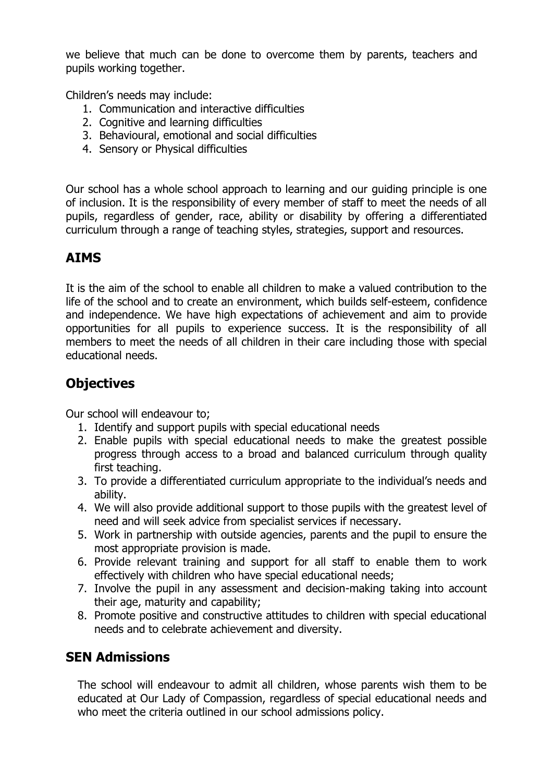we believe that much can be done to overcome them by parents, teachers and pupils working together.

Children's needs may include:

- 1. Communication and interactive difficulties
- 2. Cognitive and learning difficulties
- 3. Behavioural, emotional and social difficulties
- 4. Sensory or Physical difficulties

Our school has a whole school approach to learning and our guiding principle is one of inclusion. It is the responsibility of every member of staff to meet the needs of all pupils, regardless of gender, race, ability or disability by offering a differentiated curriculum through a range of teaching styles, strategies, support and resources.

# **AIMS**

It is the aim of the school to enable all children to make a valued contribution to the life of the school and to create an environment, which builds self-esteem, confidence and independence. We have high expectations of achievement and aim to provide opportunities for all pupils to experience success. It is the responsibility of all members to meet the needs of all children in their care including those with special educational needs.

# **Objectives**

Our school will endeavour to;

- 1. Identify and support pupils with special educational needs
- 2. Enable pupils with special educational needs to make the greatest possible progress through access to a broad and balanced curriculum through quality first teaching.
- 3. To provide a differentiated curriculum appropriate to the individual's needs and ability.
- 4. We will also provide additional support to those pupils with the greatest level of need and will seek advice from specialist services if necessary.
- 5. Work in partnership with outside agencies, parents and the pupil to ensure the most appropriate provision is made.
- 6. Provide relevant training and support for all staff to enable them to work effectively with children who have special educational needs;
- 7. Involve the pupil in any assessment and decision-making taking into account their age, maturity and capability;
- 8. Promote positive and constructive attitudes to children with special educational needs and to celebrate achievement and diversity.

# **SEN Admissions**

The school will endeavour to admit all children, whose parents wish them to be educated at Our Lady of Compassion, regardless of special educational needs and who meet the criteria outlined in our school admissions policy.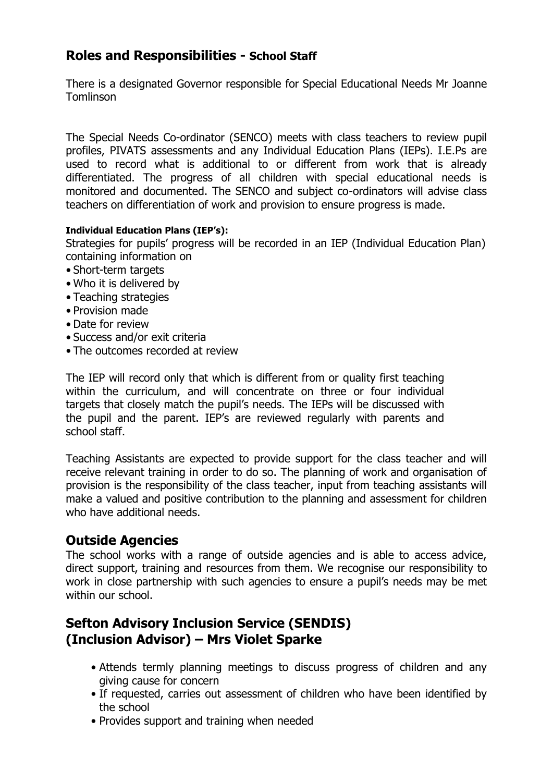### **Roles and Responsibilities - School Staff**

There is a designated Governor responsible for Special Educational Needs Mr Joanne Tomlinson

The Special Needs Co-ordinator (SENCO) meets with class teachers to review pupil profiles, PIVATS assessments and any Individual Education Plans (IEPs). I.E.Ps are used to record what is additional to or different from work that is already differentiated. The progress of all children with special educational needs is monitored and documented. The SENCO and subject co-ordinators will advise class teachers on differentiation of work and provision to ensure progress is made.

#### **Individual Education Plans (IEP's):**

Strategies for pupils' progress will be recorded in an IEP (Individual Education Plan) containing information on

- Short-term targets
- Who it is delivered by
- Teaching strategies
- Provision made
- Date for review
- Success and/or exit criteria
- The outcomes recorded at review

The IEP will record only that which is different from or quality first teaching within the curriculum, and will concentrate on three or four individual targets that closely match the pupil's needs. The IEPs will be discussed with the pupil and the parent. IEP's are reviewed regularly with parents and school staff.

Teaching Assistants are expected to provide support for the class teacher and will receive relevant training in order to do so. The planning of work and organisation of provision is the responsibility of the class teacher, input from teaching assistants will make a valued and positive contribution to the planning and assessment for children who have additional needs.

#### **Outside Agencies**

The school works with a range of outside agencies and is able to access advice, direct support, training and resources from them. We recognise our responsibility to work in close partnership with such agencies to ensure a pupil's needs may be met within our school.

# **Sefton Advisory Inclusion Service (SENDIS) (Inclusion Advisor) – Mrs Violet Sparke**

- Attends termly planning meetings to discuss progress of children and any giving cause for concern
- If requested, carries out assessment of children who have been identified by the school
- Provides support and training when needed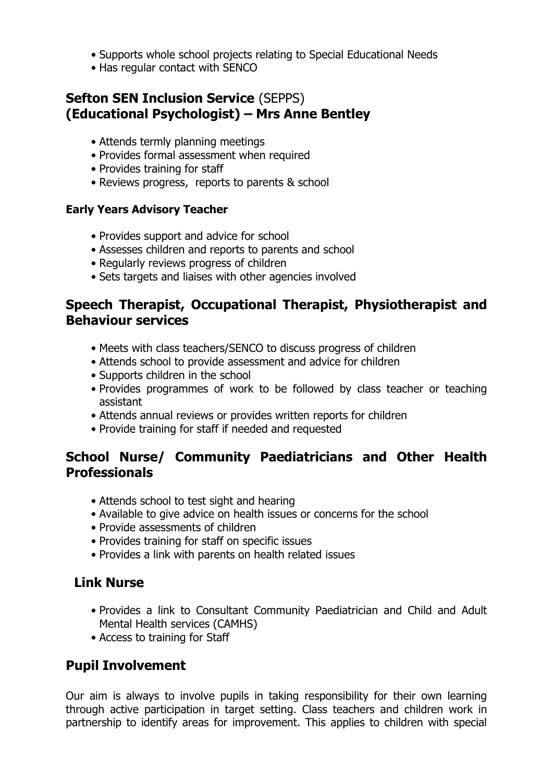- Supports whole school projects relating to Special Educational Needs
- Has regular contact with SENCO

## **Sefton SEN Inclusion Service** (SEPPS) **(Educational Psychologist) – Mrs Anne Bentley**

- Attends termly planning meetings
- Provides formal assessment when required
- Provides training for staff
- Reviews progress, reports to parents & school

#### **Early Years Advisory Teacher**

- Provides support and advice for school
- Assesses children and reports to parents and school
- Regularly reviews progress of children
- Sets targets and liaises with other agencies involved

#### **Speech Therapist, Occupational Therapist, Physiotherapist and Behaviour services**

- Meets with class teachers/SENCO to discuss progress of children
- Attends school to provide assessment and advice for children
- Supports children in the school
- Provides programmes of work to be followed by class teacher or teaching assistant
- Attends annual reviews or provides written reports for children
- Provide training for staff if needed and requested

# **School Nurse/ Community Paediatricians and Other Health Professionals**

- Attends school to test sight and hearing
- Available to give advice on health issues or concerns for the school
- Provide assessments of children
- Provides training for staff on specific issues
- Provides a link with parents on health related issues

## **Link Nurse**

- Provides a link to Consultant Community Paediatrician and Child and Adult Mental Health services (CAMHS)
- Access to training for Staff

# **Pupil Involvement**

Our aim is always to involve pupils in taking responsibility for their own learning through active participation in target setting. Class teachers and children work in partnership to identify areas for improvement. This applies to children with special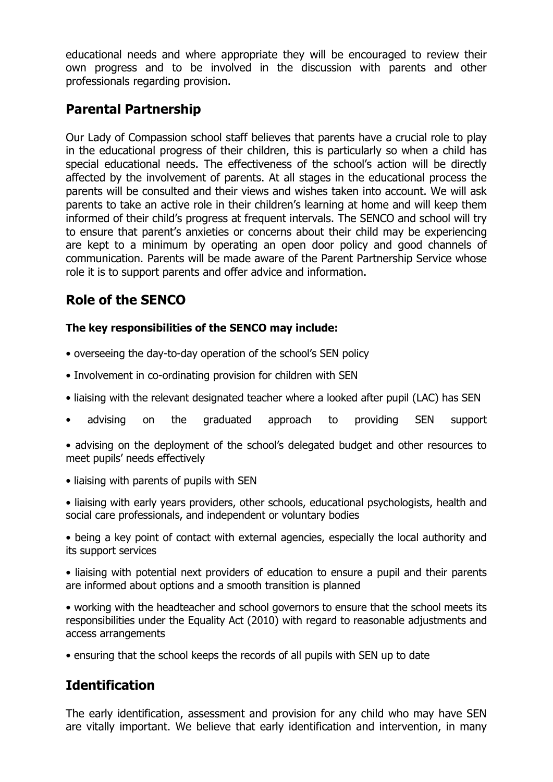educational needs and where appropriate they will be encouraged to review their own progress and to be involved in the discussion with parents and other professionals regarding provision.

# **Parental Partnership**

Our Lady of Compassion school staff believes that parents have a crucial role to play in the educational progress of their children, this is particularly so when a child has special educational needs. The effectiveness of the school's action will be directly affected by the involvement of parents. At all stages in the educational process the parents will be consulted and their views and wishes taken into account. We will ask parents to take an active role in their children's learning at home and will keep them informed of their child's progress at frequent intervals. The SENCO and school will try to ensure that parent's anxieties or concerns about their child may be experiencing are kept to a minimum by operating an open door policy and good channels of communication. Parents will be made aware of the Parent Partnership Service whose role it is to support parents and offer advice and information.

# **Role of the SENCO**

#### **The key responsibilities of the SENCO may include:**

- overseeing the day-to-day operation of the school's SEN policy
- Involvement in co-ordinating provision for children with SEN
- liaising with the relevant designated teacher where a looked after pupil (LAC) has SEN
- advising on the graduated approach to providing SEN support

• advising on the deployment of the school's delegated budget and other resources to meet pupils' needs effectively

- liaising with parents of pupils with SEN
- liaising with early years providers, other schools, educational psychologists, health and social care professionals, and independent or voluntary bodies

• being a key point of contact with external agencies, especially the local authority and its support services

• liaising with potential next providers of education to ensure a pupil and their parents are informed about options and a smooth transition is planned

• working with the headteacher and school governors to ensure that the school meets its responsibilities under the Equality Act (2010) with regard to reasonable adjustments and access arrangements

• ensuring that the school keeps the records of all pupils with SEN up to date

## **Identification**

The early identification, assessment and provision for any child who may have SEN are vitally important. We believe that early identification and intervention, in many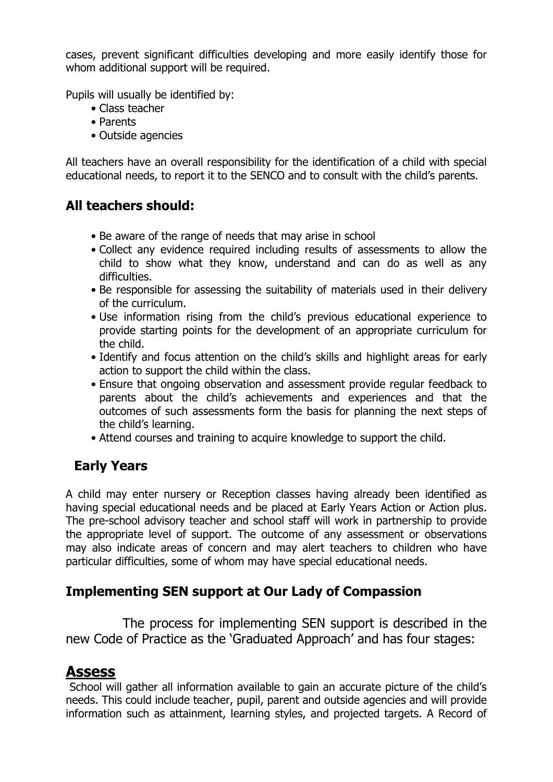cases, prevent significant difficulties developing and more easily identify those for whom additional support will be required.

Pupils will usually be identified by:

- Class teacher
- Parents
- Outside agencies

All teachers have an overall responsibility for the identification of a child with special educational needs, to report it to the SENCO and to consult with the child's parents.

# **All teachers should:**

- Be aware of the range of needs that may arise in school
- Collect any evidence required including results of assessments to allow the child to show what they know, understand and can do as well as any difficulties.
- Be responsible for assessing the suitability of materials used in their delivery of the curriculum.
- Use information rising from the child's previous educational experience to provide starting points for the development of an appropriate curriculum for the child.
- Identify and focus attention on the child's skills and highlight areas for early action to support the child within the class.
- Ensure that ongoing observation and assessment provide regular feedback to parents about the child's achievements and experiences and that the outcomes of such assessments form the basis for planning the next steps of the child's learning.
- Attend courses and training to acquire knowledge to support the child.

# **Early Years**

A child may enter nursery or Reception classes having already been identified as having special educational needs and be placed at Early Years Action or Action plus. The pre-school advisory teacher and school staff will work in partnership to provide the appropriate level of support. The outcome of any assessment or observations may also indicate areas of concern and may alert teachers to children who have particular difficulties, some of whom may have special educational needs.

## **Implementing SEN support at Our Lady of Compassion**

 The process for implementing SEN support is described in the new Code of Practice as the 'Graduated Approach' and has four stages:

# **Assess**

School will gather all information available to gain an accurate picture of the child's needs. This could include teacher, pupil, parent and outside agencies and will provide information such as attainment, learning styles, and projected targets. A Record of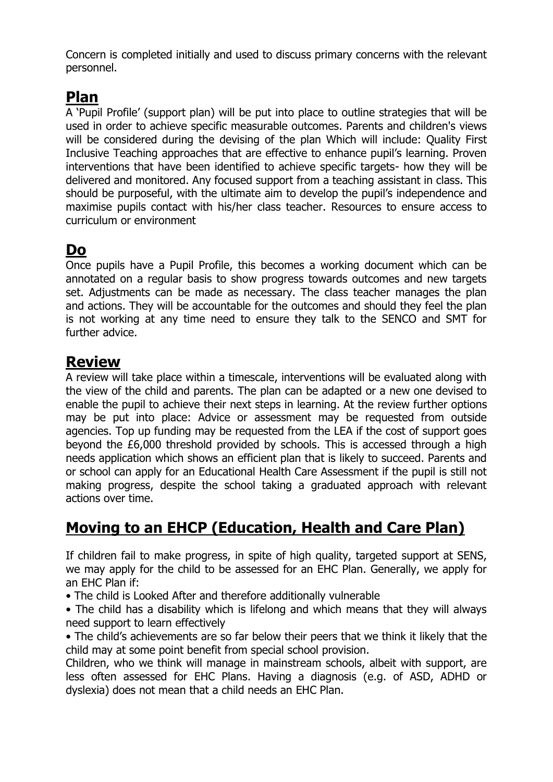Concern is completed initially and used to discuss primary concerns with the relevant personnel.

# **Plan**

A 'Pupil Profile' (support plan) will be put into place to outline strategies that will be used in order to achieve specific measurable outcomes. Parents and children's views will be considered during the devising of the plan Which will include: Quality First Inclusive Teaching approaches that are effective to enhance pupil's learning. Proven interventions that have been identified to achieve specific targets- how they will be delivered and monitored. Any focused support from a teaching assistant in class. This should be purposeful, with the ultimate aim to develop the pupil's independence and maximise pupils contact with his/her class teacher. Resources to ensure access to curriculum or environment

# **Do**

Once pupils have a Pupil Profile, this becomes a working document which can be annotated on a regular basis to show progress towards outcomes and new targets set. Adjustments can be made as necessary. The class teacher manages the plan and actions. They will be accountable for the outcomes and should they feel the plan is not working at any time need to ensure they talk to the SENCO and SMT for further advice.

# **Review**

A review will take place within a timescale, interventions will be evaluated along with the view of the child and parents. The plan can be adapted or a new one devised to enable the pupil to achieve their next steps in learning. At the review further options may be put into place: Advice or assessment may be requested from outside agencies. Top up funding may be requested from the LEA if the cost of support goes beyond the £6,000 threshold provided by schools. This is accessed through a high needs application which shows an efficient plan that is likely to succeed. Parents and or school can apply for an Educational Health Care Assessment if the pupil is still not making progress, despite the school taking a graduated approach with relevant actions over time.

# **Moving to an EHCP (Education, Health and Care Plan)**

If children fail to make progress, in spite of high quality, targeted support at SENS, we may apply for the child to be assessed for an EHC Plan. Generally, we apply for an EHC Plan if:

- The child is Looked After and therefore additionally vulnerable
- The child has a disability which is lifelong and which means that they will always need support to learn effectively
- The child's achievements are so far below their peers that we think it likely that the child may at some point benefit from special school provision.

Children, who we think will manage in mainstream schools, albeit with support, are less often assessed for EHC Plans. Having a diagnosis (e.g. of ASD, ADHD or dyslexia) does not mean that a child needs an EHC Plan.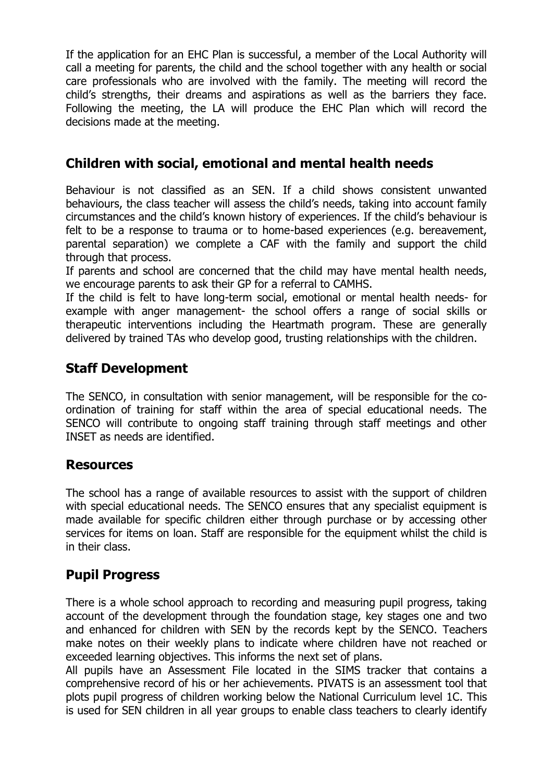If the application for an EHC Plan is successful, a member of the Local Authority will call a meeting for parents, the child and the school together with any health or social care professionals who are involved with the family. The meeting will record the child's strengths, their dreams and aspirations as well as the barriers they face. Following the meeting, the LA will produce the EHC Plan which will record the decisions made at the meeting.

#### **Children with social, emotional and mental health needs**

Behaviour is not classified as an SEN. If a child shows consistent unwanted behaviours, the class teacher will assess the child's needs, taking into account family circumstances and the child's known history of experiences. If the child's behaviour is felt to be a response to trauma or to home-based experiences (e.g. bereavement, parental separation) we complete a CAF with the family and support the child through that process.

If parents and school are concerned that the child may have mental health needs, we encourage parents to ask their GP for a referral to CAMHS.

If the child is felt to have long-term social, emotional or mental health needs- for example with anger management- the school offers a range of social skills or therapeutic interventions including the Heartmath program. These are generally delivered by trained TAs who develop good, trusting relationships with the children.

#### **Staff Development**

The SENCO, in consultation with senior management, will be responsible for the coordination of training for staff within the area of special educational needs. The SENCO will contribute to ongoing staff training through staff meetings and other INSET as needs are identified.

#### **Resources**

The school has a range of available resources to assist with the support of children with special educational needs. The SENCO ensures that any specialist equipment is made available for specific children either through purchase or by accessing other services for items on loan. Staff are responsible for the equipment whilst the child is in their class.

## **Pupil Progress**

There is a whole school approach to recording and measuring pupil progress, taking account of the development through the foundation stage, key stages one and two and enhanced for children with SEN by the records kept by the SENCO. Teachers make notes on their weekly plans to indicate where children have not reached or exceeded learning objectives. This informs the next set of plans.

All pupils have an Assessment File located in the SIMS tracker that contains a comprehensive record of his or her achievements. PIVATS is an assessment tool that plots pupil progress of children working below the National Curriculum level 1C. This is used for SEN children in all year groups to enable class teachers to clearly identify